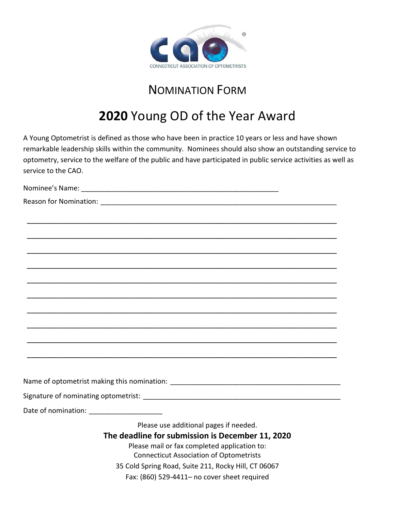

## NOMINATION FORM

## **2020** Young OD of the Year Award

A Young Optometrist is defined as those who have been in practice 10 years or less and have shown remarkable leadership skills within the community. Nominees should also show an outstanding service to optometry, service to the welfare of the public and have participated in public service activities as well as service to the CAO.

Nominee's Name: <u>and the same</u> of the same of the same of the same of the same of the same of the same of the same of the same of the same of the same of the same of the same of the same of the same of the same of the same Reason for Nomination: **Example 2018** \_\_\_\_\_\_\_\_\_\_\_\_\_\_\_\_\_\_\_\_\_\_\_\_\_\_\_\_\_\_\_\_\_\_\_\_\_\_\_\_\_\_\_\_\_\_\_\_\_\_\_\_\_\_\_\_\_\_\_\_\_\_\_\_\_\_\_\_\_ \_\_\_\_\_\_\_\_\_\_\_\_\_\_\_\_\_\_\_\_\_\_\_\_\_\_\_\_\_\_\_\_\_\_\_\_\_\_\_\_\_\_\_\_\_\_\_\_\_\_\_\_\_\_\_\_\_\_\_\_\_\_\_\_\_\_\_\_\_ \_\_\_\_\_\_\_\_\_\_\_\_\_\_\_\_\_\_\_\_\_\_\_\_\_\_\_\_\_\_\_\_\_\_\_\_\_\_\_\_\_\_\_\_\_\_\_\_\_\_\_\_\_\_\_\_\_\_\_\_\_\_\_\_\_\_\_\_\_ \_\_\_\_\_\_\_\_\_\_\_\_\_\_\_\_\_\_\_\_\_\_\_\_\_\_\_\_\_\_\_\_\_\_\_\_\_\_\_\_\_\_\_\_\_\_\_\_\_\_\_\_\_\_\_\_\_\_\_\_\_\_\_\_\_\_\_\_\_ \_\_\_\_\_\_\_\_\_\_\_\_\_\_\_\_\_\_\_\_\_\_\_\_\_\_\_\_\_\_\_\_\_\_\_\_\_\_\_\_\_\_\_\_\_\_\_\_\_\_\_\_\_\_\_\_\_\_\_\_\_\_\_\_\_\_\_\_\_ \_\_\_\_\_\_\_\_\_\_\_\_\_\_\_\_\_\_\_\_\_\_\_\_\_\_\_\_\_\_\_\_\_\_\_\_\_\_\_\_\_\_\_\_\_\_\_\_\_\_\_\_\_\_\_\_\_\_\_\_\_\_\_\_\_\_\_\_\_ \_\_\_\_\_\_\_\_\_\_\_\_\_\_\_\_\_\_\_\_\_\_\_\_\_\_\_\_\_\_\_\_\_\_\_\_\_\_\_\_\_\_\_\_\_\_\_\_\_\_\_\_\_\_\_\_\_\_\_\_\_\_\_\_\_\_\_\_\_ \_\_\_\_\_\_\_\_\_\_\_\_\_\_\_\_\_\_\_\_\_\_\_\_\_\_\_\_\_\_\_\_\_\_\_\_\_\_\_\_\_\_\_\_\_\_\_\_\_\_\_\_\_\_\_\_\_\_\_\_\_\_\_\_\_\_\_\_\_ \_\_\_\_\_\_\_\_\_\_\_\_\_\_\_\_\_\_\_\_\_\_\_\_\_\_\_\_\_\_\_\_\_\_\_\_\_\_\_\_\_\_\_\_\_\_\_\_\_\_\_\_\_\_\_\_\_\_\_\_\_\_\_\_\_\_\_\_\_ \_\_\_\_\_\_\_\_\_\_\_\_\_\_\_\_\_\_\_\_\_\_\_\_\_\_\_\_\_\_\_\_\_\_\_\_\_\_\_\_\_\_\_\_\_\_\_\_\_\_\_\_\_\_\_\_\_\_\_\_\_\_\_\_\_\_\_\_\_ Name of optometrist making this nomination: \_\_\_\_\_\_\_\_\_\_\_\_\_\_\_\_\_\_\_\_\_\_\_\_\_\_\_\_\_\_\_\_\_\_\_\_\_\_\_\_\_\_\_\_ Signature of nominating optometrist: **Example 2018** Date of nomination: **Example 20** Please use additional pages if needed. **The deadline for submission is December 11, 2020** Please mail or fax completed application to: Connecticut Association of Optometrists 35 Cold Spring Road, Suite 211, Rocky Hill, CT 06067

Fax: (860) 529-4411– no cover sheet required